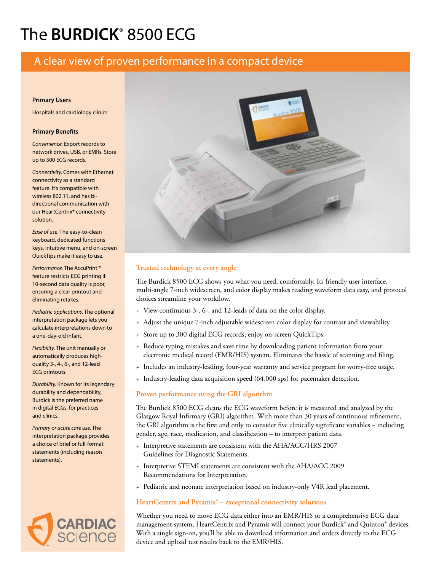# The **BURDICK**® 8500 ECG

# A clear view of proven performance in a compact device

#### **Primary Users**

Hospitals and cardiology clinics

#### **Primary Benefits**

*Convenience.* Export records to network drives, USB, or EMRs. Store up to 300 ECG records.

*Connectivity.* Comes with Ethernet connectivity as a standard feature. It's compatible with wireless 802.11, and has bidirectional communication with our HeartCentrix® connectivity solution.

*Ease of use*. The easy-to-clean keyboard, dedicated functions keys, intuitive menu, and on-screen QuickTips make it easy to use.

*Performance*. The AccuPrint™ feature restricts ECG printing if 10-second data quality is poor, ensuring a clear printout and eliminating retakes.

*Pediatric applications.* The optional interpretation package lets you calculate interpretations down to a one-day-old infant.

*Flexibility.* The unit manually or automatically produces highquality 3-, 4-, 6-, and 12-lead ECG printouts.

*Durability.* Known for its legendary durability and dependability, Burdick is the preferred name in digital ECGs, for practices and clinics.

*Primary or acute care use.* The interpretation package provides a choice of brief or full-format statements (including reason statements).





# **Trusted technology at every angle**

The Burdick 8500 ECG shows you what you need, comfortably. Its friendly user interface, multi-angle 7-inch widescreen, and color display makes reading waveform data easy, and protocol choices streamline your workflow.

- + View continuous 3-, 6-, and 12-leads of data on the color display.
- + Adjust the unique 7-inch adjustable widescreen color display for contrast and viewability.
- + Store up to 300 digital ECG records; enjoy on-screen QuickTips.
- + Reduce typing mistakes and save time by downloading patient information from your electronic medical record (EMR/HIS) system. Eliminates the hassle of scanning and filing.
- + Includes an industry-leading, four-year warranty and service program for worry-free usage.
- + Industry-leading data acquisition speed (64,000 sps) for pacemaker detection.

#### **Proven performance using the GRI algorithm**

The Burdick 8500 ECG cleans the ECG waveform before it is measured and analyzed by the Glasgow Royal Infirmary (GRI) algorithm. With more than 30 years of continuous refinement, the GRI algorithm is the first and only to consider five clinically significant variables – including gender, age, race, medication, and classification – to interpret patient data.

- + Interpretive statements are consistent with the AHA/ACC/HRS 2007 Guidelines for Diagnostic Statements.
- + Interpretive STEMI statements are consistent with the AHA/ACC 2009 Recommendations for Interpretation.
- + Pediatric and neonate interpretation based on industry-only V4R lead placement.

### **HeartCentrix and Pyramis® – exceptional connectivity solutions**

Whether you need to move ECG data either into an EMR/HIS or a comprehensive ECG data management system, HeartCentrix and Pyramis will connect your Burdick® and Quinton® devices. With a single sign-on, you'll be able to download information and orders directly to the ECG device and upload test results back to the EMR/HIS.